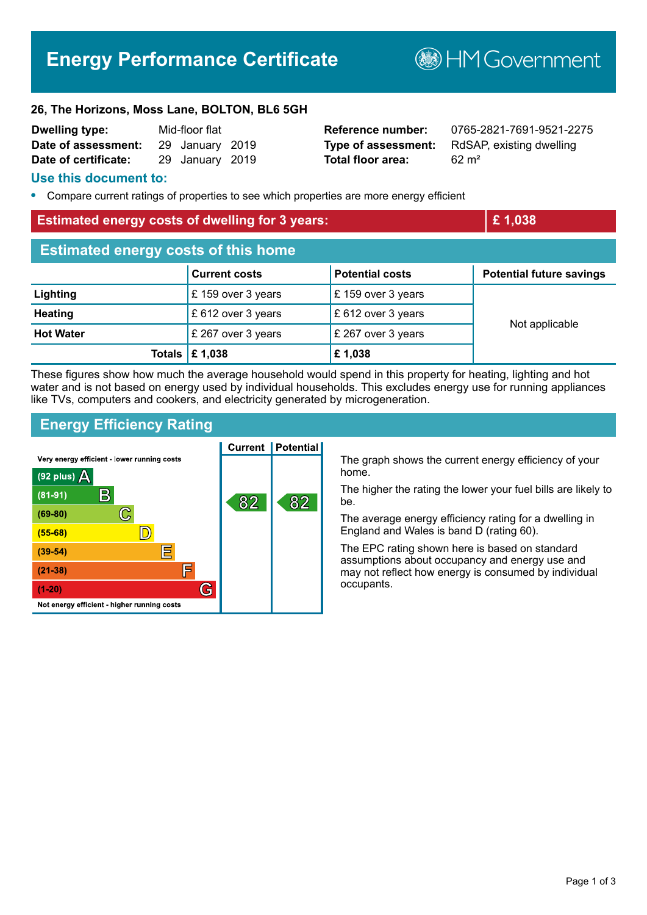# **Energy Performance Certificate**

**B**HMGovernment

#### **26, The Horizons, Moss Lane, BOLTON, BL6 5GH**

| <b>Dwelling type:</b> | Mid-floor flat |                 |  |
|-----------------------|----------------|-----------------|--|
| Date of assessment:   |                | 29 January 2019 |  |
| Date of certificate:  |                | 29 January 2019 |  |

**Total floor area:** 62 m<sup>2</sup>

**Reference number:** 0765-2821-7691-9521-2275 **Type of assessment:** RdSAP, existing dwelling

### **Use this document to:**

**•** Compare current ratings of properties to see which properties are more energy efficient

### **Estimated energy costs of dwelling for 3 years: Example 2 and 2 and 2 and 2 and 2 and 2 and 2 and 2 and 2 and 2 and 2 and 2 and 2 and 2 and 2 and 2 and 2 and 2 and 2 and 2 and 2 and 2 and 2 and 2 and 2 and 2 and 2 and 2**

| <b>Estimated energy costs of this home</b> |                                 |                        |                                 |  |
|--------------------------------------------|---------------------------------|------------------------|---------------------------------|--|
|                                            | <b>Current costs</b>            | <b>Potential costs</b> | <b>Potential future savings</b> |  |
| Lighting                                   | £159 over 3 years               | £159 over 3 years      | Not applicable                  |  |
| <b>Heating</b>                             | £ 612 over 3 years              | £ 612 over 3 years     |                                 |  |
| <b>Hot Water</b>                           | £ 267 over 3 years              | £ 267 over 3 years     |                                 |  |
|                                            | Totals $\mathbf \epsilon$ 1,038 | £1,038                 |                                 |  |

These figures show how much the average household would spend in this property for heating, lighting and hot water and is not based on energy used by individual households. This excludes energy use for running appliances like TVs, computers and cookers, and electricity generated by microgeneration.

## **Energy Efficiency Rating**



The graph shows the current energy efficiency of your home.

The higher the rating the lower your fuel bills are likely to be.

The average energy efficiency rating for a dwelling in England and Wales is band D (rating 60).

The EPC rating shown here is based on standard assumptions about occupancy and energy use and may not reflect how energy is consumed by individual occupants.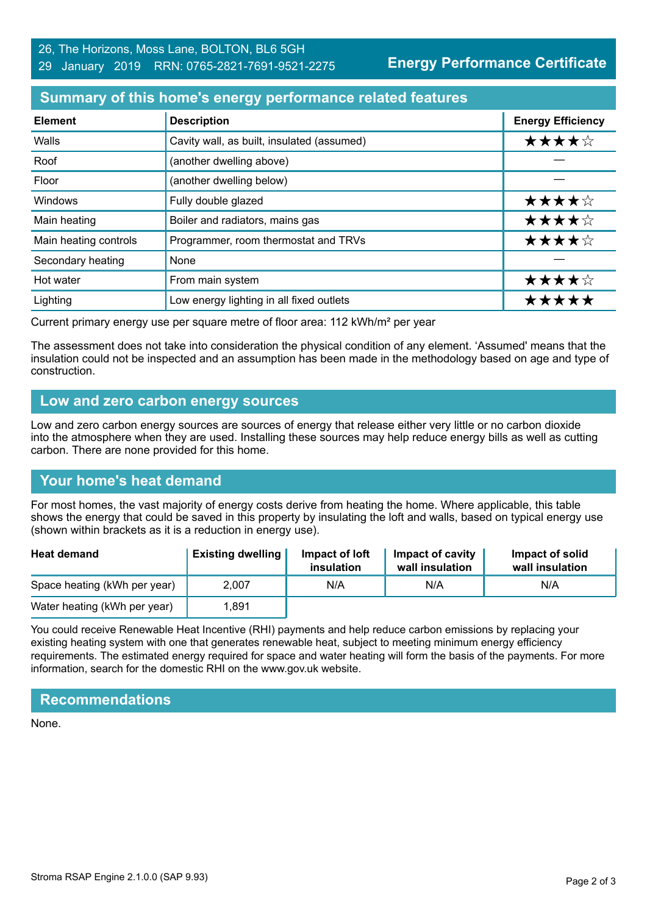**Energy Performance Certificate**

## **Summary of this home's energy performance related features**

| <b>Element</b>        | <b>Description</b>                         | <b>Energy Efficiency</b> |
|-----------------------|--------------------------------------------|--------------------------|
| Walls                 | Cavity wall, as built, insulated (assumed) | ★★★★☆                    |
| Roof                  | (another dwelling above)                   |                          |
| Floor                 | (another dwelling below)                   |                          |
| Windows               | Fully double glazed                        | ★★★★☆                    |
| Main heating          | Boiler and radiators, mains gas            | ★★★★☆                    |
| Main heating controls | Programmer, room thermostat and TRVs       | ★★★★☆                    |
| Secondary heating     | None                                       |                          |
| Hot water             | From main system                           | ★★★★☆                    |
| Lighting              | Low energy lighting in all fixed outlets   | *****                    |

Current primary energy use per square metre of floor area: 112 kWh/m² per year

The assessment does not take into consideration the physical condition of any element. 'Assumed' means that the insulation could not be inspected and an assumption has been made in the methodology based on age and type of construction.

## **Low and zero carbon energy sources**

Low and zero carbon energy sources are sources of energy that release either very little or no carbon dioxide into the atmosphere when they are used. Installing these sources may help reduce energy bills as well as cutting carbon. There are none provided for this home.

# **Your home's heat demand**

For most homes, the vast majority of energy costs derive from heating the home. Where applicable, this table shows the energy that could be saved in this property by insulating the loft and walls, based on typical energy use (shown within brackets as it is a reduction in energy use).

| <b>Heat demand</b>           | <b>Existing dwelling</b> | Impact of loft<br>insulation | Impact of cavity<br>wall insulation | Impact of solid<br>wall insulation |
|------------------------------|--------------------------|------------------------------|-------------------------------------|------------------------------------|
| Space heating (kWh per year) | 2.007                    | N/A                          | N/A                                 | N/A                                |
| Water heating (kWh per year) | .891                     |                              |                                     |                                    |

You could receive Renewable Heat Incentive (RHI) payments and help reduce carbon emissions by replacing your existing heating system with one that generates renewable heat, subject to meeting minimum energy efficiency requirements. The estimated energy required for space and water heating will form the basis of the payments. For more information, search for the domestic RHI on the www.gov.uk website.

# **Recommendations**

None.